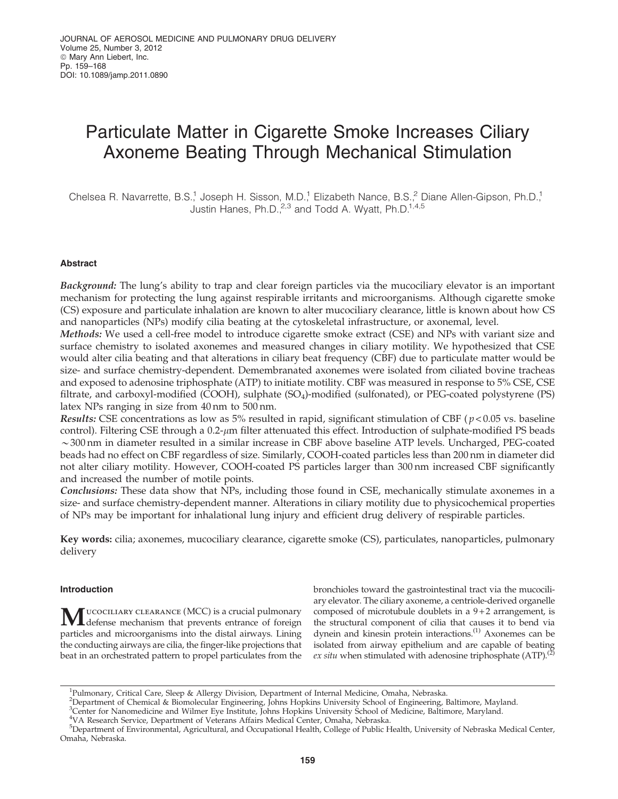# Particulate Matter in Cigarette Smoke Increases Ciliary Axoneme Beating Through Mechanical Stimulation

Chelsea R. Navarrette, B.S.,<sup>1</sup> Joseph H. Sisson, M.D.,<sup>1</sup> Elizabeth Nance, B.S.,<sup>2</sup> Diane Allen-Gipson, Ph.D.,<sup>1</sup> Justin Hanes, Ph.D. $^{2,3}$  and Todd A. Wyatt, Ph.D.<sup>1,4,5</sup>

# Abstract

Background: The lung's ability to trap and clear foreign particles via the mucociliary elevator is an important mechanism for protecting the lung against respirable irritants and microorganisms. Although cigarette smoke (CS) exposure and particulate inhalation are known to alter mucociliary clearance, little is known about how CS and nanoparticles (NPs) modify cilia beating at the cytoskeletal infrastructure, or axonemal, level.

Methods: We used a cell-free model to introduce cigarette smoke extract (CSE) and NPs with variant size and surface chemistry to isolated axonemes and measured changes in ciliary motility. We hypothesized that CSE would alter cilia beating and that alterations in ciliary beat frequency (CBF) due to particulate matter would be size- and surface chemistry-dependent. Demembranated axonemes were isolated from ciliated bovine tracheas and exposed to adenosine triphosphate (ATP) to initiate motility. CBF was measured in response to 5% CSE, CSE filtrate, and carboxyl-modified (COOH), sulphate (SO4)-modified (sulfonated), or PEG-coated polystyrene (PS) latex NPs ranging in size from 40 nm to 500 nm.

Results: CSE concentrations as low as 5% resulted in rapid, significant stimulation of CBF ( $p < 0.05$  vs. baseline control). Filtering CSE through a 0.2-µm filter attenuated this effect. Introduction of sulphate-modified PS beads  $\sim$ 300 nm in diameter resulted in a similar increase in CBF above baseline ATP levels. Uncharged, PEG-coated beads had no effect on CBF regardless of size. Similarly, COOH-coated particles less than 200 nm in diameter did not alter ciliary motility. However, COOH-coated PS particles larger than 300 nm increased CBF significantly and increased the number of motile points.

Conclusions: These data show that NPs, including those found in CSE, mechanically stimulate axonemes in a size- and surface chemistry-dependent manner. Alterations in ciliary motility due to physicochemical properties of NPs may be important for inhalational lung injury and efficient drug delivery of respirable particles.

Key words: cilia; axonemes, mucociliary clearance, cigarette smoke (CS), particulates, nanoparticles, pulmonary delivery

# Introduction

MUCOCILIARY CLEARANCE (MCC) is a crucial pulmonary<br>defense mechanism that prevents entrance of foreign particles and microorganisms into the distal airways. Lining the conducting airways are cilia, the finger-like projections that beat in an orchestrated pattern to propel particulates from the bronchioles toward the gastrointestinal tract via the mucociliary elevator. The ciliary axoneme, a centriole-derived organelle composed of microtubule doublets in a  $9+2$  arrangement, is the structural component of cilia that causes it to bend via dynein and kinesin protein interactions.<sup>(1)</sup> Axonemes can be isolated from airway epithelium and are capable of beating ex situ when stimulated with adenosine triphosphate  $(ATP)$ .<sup>(2)</sup>

<sup>&</sup>lt;sup>1</sup>Pulmonary, Critical Care, Sleep & Allergy Division, Department of Internal Medicine, Omaha, Nebraska.

<sup>2</sup> Department of Chemical & Biomolecular Engineering, Johns Hopkins University School of Engineering, Baltimore, Mayland.

<sup>3</sup> Center for Nanomedicine and Wilmer Eye Institute, Johns Hopkins University School of Medicine, Baltimore, Maryland.

<sup>4</sup> VA Research Service, Department of Veterans Affairs Medical Center, Omaha, Nebraska.

<sup>5</sup> Department of Environmental, Agricultural, and Occupational Health, College of Public Health, University of Nebraska Medical Center, Omaha, Nebraska.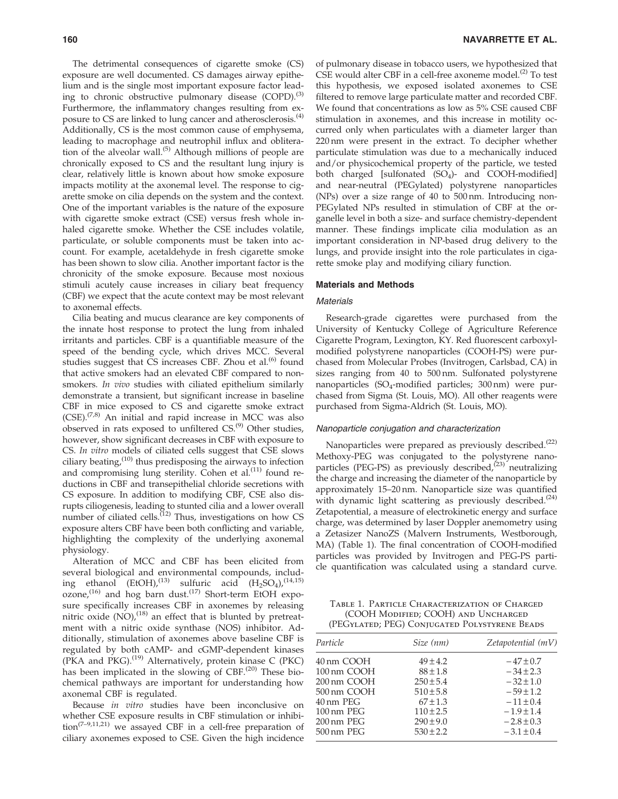The detrimental consequences of cigarette smoke (CS) exposure are well documented. CS damages airway epithelium and is the single most important exposure factor leading to chronic obstructive pulmonary disease (COPD).<sup>(3)</sup> Furthermore, the inflammatory changes resulting from exposure to CS are linked to lung cancer and atherosclerosis.<sup>(4)</sup> Additionally, CS is the most common cause of emphysema, leading to macrophage and neutrophil influx and obliteration of the alveolar wall.<sup>(5)</sup> Although millions of people are chronically exposed to CS and the resultant lung injury is clear, relatively little is known about how smoke exposure impacts motility at the axonemal level. The response to cigarette smoke on cilia depends on the system and the context. One of the important variables is the nature of the exposure with cigarette smoke extract (CSE) versus fresh whole inhaled cigarette smoke. Whether the CSE includes volatile, particulate, or soluble components must be taken into account. For example, acetaldehyde in fresh cigarette smoke has been shown to slow cilia. Another important factor is the chronicity of the smoke exposure. Because most noxious stimuli acutely cause increases in ciliary beat frequency (CBF) we expect that the acute context may be most relevant to axonemal effects.

Cilia beating and mucus clearance are key components of the innate host response to protect the lung from inhaled irritants and particles. CBF is a quantifiable measure of the speed of the bending cycle, which drives MCC. Several studies suggest that CS increases CBF. Zhou et al. $^{(6)}$  found that active smokers had an elevated CBF compared to nonsmokers. In vivo studies with ciliated epithelium similarly demonstrate a transient, but significant increase in baseline CBF in mice exposed to CS and cigarette smoke extract  $(CSE)$ .<sup>(7,8)</sup> An initial and rapid increase in MCC was also observed in rats exposed to unfiltered  $CS^{(9)}$  Other studies, however, show significant decreases in CBF with exposure to CS. In vitro models of ciliated cells suggest that CSE slows ciliary beating, $(10)$  thus predisposing the airways to infection and compromising lung sterility. Cohen et al.<sup>(11)</sup> found reductions in CBF and transepithelial chloride secretions with CS exposure. In addition to modifying CBF, CSE also disrupts ciliogenesis, leading to stunted cilia and a lower overall number of ciliated cells.<sup>(12)</sup> Thus, investigations on how CS exposure alters CBF have been both conflicting and variable, highlighting the complexity of the underlying axonemal physiology.

Alteration of MCC and CBF has been elicited from several biological and environmental compounds, including ethanol  $(EtOH)$ ,<sup>(13)</sup> sulfuric acid  $(H_2SO_4)$ ,<sup>(14,15)</sup>  $\overline{\text{o}}$  ozone,<sup>(16)</sup> and hog barn dust.<sup>(17)</sup> Short-term EtOH exposure specifically increases CBF in axonemes by releasing nitric oxide  $\overline{(NO)}$ ,<sup>(18)</sup> an effect that is blunted by pretreatment with a nitric oxide synthase (NOS) inhibitor. Additionally, stimulation of axonemes above baseline CBF is regulated by both cAMP- and cGMP-dependent kinases (PKA and PKG).<sup>(19)</sup> Alternatively, protein kinase C (PKC) has been implicated in the slowing of CBF. $(20)$  These biochemical pathways are important for understanding how axonemal CBF is regulated.

Because in vitro studies have been inconclusive on whether CSE exposure results in CBF stimulation or inhibition<sup>(7–9,11,21)</sup> we assayed CBF in a cell-free preparation of ciliary axonemes exposed to CSE. Given the high incidence of pulmonary disease in tobacco users, we hypothesized that CSE would alter CBF in a cell-free axoneme model. $(2)$  To test this hypothesis, we exposed isolated axonemes to CSE filtered to remove large particulate matter and recorded CBF. We found that concentrations as low as 5% CSE caused CBF stimulation in axonemes, and this increase in motility occurred only when particulates with a diameter larger than 220 nm were present in the extract. To decipher whether particulate stimulation was due to a mechanically induced and/or physicochemical property of the particle, we tested both charged [sulfonated  $(SO<sub>4</sub>)$ - and COOH-modified] and near-neutral (PEGylated) polystyrene nanoparticles (NPs) over a size range of 40 to 500 nm. Introducing non-PEGylated NPs resulted in stimulation of CBF at the organelle level in both a size- and surface chemistry-dependent manner. These findings implicate cilia modulation as an important consideration in NP-based drug delivery to the lungs, and provide insight into the role particulates in cigarette smoke play and modifying ciliary function.

### Materials and Methods

## **Materials**

Research-grade cigarettes were purchased from the University of Kentucky College of Agriculture Reference Cigarette Program, Lexington, KY. Red fluorescent carboxylmodified polystyrene nanoparticles (COOH-PS) were purchased from Molecular Probes (Invitrogen, Carlsbad, CA) in sizes ranging from 40 to 500 nm. Sulfonated polystyrene nanoparticles (SO<sub>4</sub>-modified particles; 300 nm) were purchased from Sigma (St. Louis, MO). All other reagents were purchased from Sigma-Aldrich (St. Louis, MO).

### Nanoparticle conjugation and characterization

Nanoparticles were prepared as previously described.<sup>(22)</sup> Methoxy-PEG was conjugated to the polystyrene nanoparticles (PEG-PS) as previously described, $^{(23)}$  neutralizing the charge and increasing the diameter of the nanoparticle by approximately 15–20 nm. Nanoparticle size was quantified with dynamic light scattering as previously described.<sup>(24)</sup> Zetapotential, a measure of electrokinetic energy and surface charge, was determined by laser Doppler anemometry using a Zetasizer NanoZS (Malvern Instruments, Westborough, MA) (Table 1). The final concentration of COOH-modified particles was provided by Invitrogen and PEG-PS particle quantification was calculated using a standard curve.

Table 1. Particle Characterization of Charged (COOH Modified; COOH) and Uncharged (PEGylated; PEG) Conjugated Polystyrene Beads

| Particle    | Size (nm)     | Zetapotential(mV) |
|-------------|---------------|-------------------|
| 40 nm COOH  | $49 \pm 4.2$  | $-47 \pm 0.7$     |
| 100 nm COOH | $88 \pm 1.8$  | $-34 \pm 2.3$     |
| 200 nm COOH | $250 \pm 5.4$ | $-32 \pm 1.0$     |
| 500 nm COOH | $510 \pm 5.8$ | $-59 \pm 1.2$     |
| 40 nm PEG   | $67 \pm 1.3$  | $-11 \pm 0.4$     |
| 100 nm PEG  | $110 \pm 2.5$ | $-1.9 \pm 1.4$    |
| 200 nm PEG  | $290 \pm 9.0$ | $-2.8 \pm 0.3$    |
| 500 nm PEG  | $530 \pm 2.2$ | $-3.1 \pm 0.4$    |
|             |               |                   |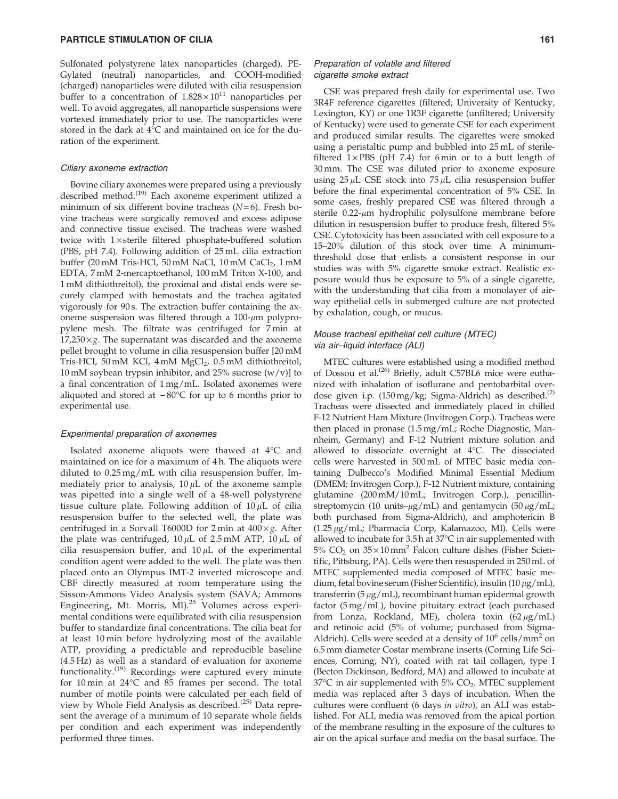Sulfonated polystyrene latex nanoparticles (charged), PE-Gylated (neutral) nanoparticles, and COOH-modified (charged) nanoparticles were diluted with cilia resuspension buffer to a concentration of  $1.828 \times 10^{11}$  nanoparticles per well. To avoid aggregates, all nanoparticle suspensions were vortexed immediately prior to use. The nanoparticles were stored in the dark at  $4^{\circ}$ C and maintained on ice for the duration of the experiment.

#### Ciliary axoneme extraction

Bovine ciliary axonemes were prepared using a previously described method.<sup>(19)</sup> Each axoneme experiment utilized a minimum of six different bovine tracheas  $(N=6)$ . Fresh bovine tracheas were surgically removed and excess adipose and connective tissue excised. The tracheas were washed twice with  $1 \times$  sterile filtered phosphate-buffered solution (PBS, pH 7.4). Following addition of 25 mL cilia extraction buffer (20 mM Tris-HCl, 50 mM NaCl, 10 mM CaCl<sub>2</sub>, 1 mM EDTA, 7 mM 2-mercaptoethanol, 100 mM Triton X-100, and 1 mM dithiothreitol), the proximal and distal ends were securely clamped with hemostats and the trachea agitated vigorously for 90 s. The extraction buffer containing the axoneme suspension was filtered through a  $100$ - $\mu$ m polypropylene mesh. The filtrate was centrifuged for 7 min at  $17,250 \times g$ . The supernatant was discarded and the axoneme pellet brought to volume in cilia resuspension buffer [20 mM Tris-HCl, 50 mM KCl, 4 mM MgCl<sub>2</sub>, 0.5 mM dithiothreitol, 10 mM soybean trypsin inhibitor, and 25% sucrose  $(w/v)$  to a final concentration of 1 mg/mL. Isolated axonemes were aliquoted and stored at  $-80^{\circ}$ C for up to 6 months prior to experimental use.

#### Experimental preparation of axonemes

Isolated axoneme aliquots were thawed at 4°C and maintained on ice for a maximum of 4 h. The aliquots were diluted to 0.25 mg/mL with cilia resuspension buffer. Immediately prior to analysis,  $10 \mu L$  of the axoneme sample was pipetted into a single well of a 48-well polystyrene tissue culture plate. Following addition of  $10 \mu L$  of cilia resuspension buffer to the selected well, the plate was centrifuged in a Sorvall T6000D for 2 min at  $400 \times g$ . After the plate was centrifuged,  $10 \mu L$  of 2.5 mM ATP,  $10 \mu L$  of cilia resuspension buffer, and  $10 \mu L$  of the experimental condition agent were added to the well. The plate was then placed onto an Olympus IMT-2 inverted microscope and CBF directly measured at room temperature using the Sisson-Ammons Video Analysis system (SAVA; Ammons Engineering, Mt. Morris, MI).<sup>25</sup> Volumes across experimental conditions were equilibrated with cilia resuspension buffer to standardize final concentrations. The cilia beat for at least 10 min before hydrolyzing most of the available ATP, providing a predictable and reproducible baseline (4.5 Hz) as well as a standard of evaluation for axoneme functionality. $(19)$  Recordings were captured every minute for 10 min at 24°C and 85 frames per second. The total number of motile points were calculated per each field of view by Whole Field Analysis as described.<sup>(25)</sup> Data represent the average of a minimum of 10 separate whole fields per condition and each experiment was independently performed three times.

# Preparation of volatile and filtered cigarette smoke extract

CSE was prepared fresh daily for experimental use. Two 3R4F reference cigarettes (filtered; University of Kentucky, Lexington, KY) or one 1R3F cigarette (unfiltered; University of Kentucky) were used to generate CSE for each experiment and produced similar results. The cigarettes were smoked using a peristaltic pump and bubbled into 25 mL of sterilefiltered  $1 \times PBS$  (pH 7.4) for 6 min or to a butt length of 30 mm. The CSE was diluted prior to axoneme exposure using  $25 \mu L$  CSE stock into  $75 \mu L$  cilia resuspension buffer before the final experimental concentration of 5% CSE. In some cases, freshly prepared CSE was filtered through a sterile  $0.22$ - $\mu$ m hydrophilic polysulfone membrane before dilution in resuspension buffer to produce fresh, filtered 5% CSE. Cytotoxicity has been associated with cell exposure to a 15–20% dilution of this stock over time. A minimumthreshold dose that enlists a consistent response in our studies was with 5% cigarette smoke extract. Realistic exposure would thus be exposure to 5% of a single cigarette, with the understanding that cilia from a monolayer of airway epithelial cells in submerged culture are not protected by exhalation, cough, or mucus.

# Mouse tracheal epithelial cell culture (MTEC) via air–liquid interface (ALI)

MTEC cultures were established using a modified method of Dossou et al.<sup>(26)</sup> Briefly, adult C57BL6 mice were euthanized with inhalation of isoflurane and pentobarbital overdose given i.p. (150 mg/kg; Sigma-Aldrich) as described.<sup>(2)</sup> Tracheas were dissected and immediately placed in chilled F-12 Nutrient Ham Mixture (Invitrogen Corp.). Tracheas were then placed in pronase (1.5 mg/mL; Roche Diagnostic, Mannheim, Germany) and F-12 Nutrient mixture solution and allowed to dissociate overnight at 4°C. The dissociated cells were harvested in 500 mL of MTEC basic media containing Dulbecco's Modified Minimal Essential Medium (DMEM; Invitrogen Corp.), F-12 Nutrient mixture, containing glutamine (200 mM/10 mL; Invitrogen Corp.), penicillinstreptomycin (10 units– $\mu$ g/mL) and gentamycin (50  $\mu$ g/mL; both purchased from Sigma-Aldrich), and amphotericin B  $(1.25 \,\mu$ g/mL; Pharmacia Corp, Kalamazoo, MI). Cells were allowed to incubate for 3.5 h at 37°C in air supplemented with  $5\%$  CO<sub>2</sub> on  $35 \times 10$  mm<sup>2</sup> Falcon culture dishes (Fisher Scientific, Pittsburg, PA). Cells were then resuspended in 250 mL of MTEC supplemented media composed of MTEC basic medium, fetal bovine serum (Fisher Scientific), insulin (10  $\mu$ g/mL), transferrin ( $5 \mu g/mL$ ), recombinant human epidermal growth factor (5 mg/mL), bovine pituitary extract (each purchased from Lonza, Rockland, ME), cholera toxin  $(62 \mu g/mL)$ and retinoic acid (5% of volume; purchased from Sigma-Aldrich). Cells were seeded at a density of  $10^6$  cells/mm<sup>2</sup> on 6.5 mm diameter Costar membrane inserts (Corning Life Sciences, Corning, NY), coated with rat tail collagen, type I (Becton Dickinson, Bedford, MA) and allowed to incubate at  $37^{\circ}$ C in air supplemented with  $5\%$  CO<sub>2</sub>. MTEC supplement media was replaced after 3 days of incubation. When the cultures were confluent (6 days in vitro), an ALI was established. For ALI, media was removed from the apical portion of the membrane resulting in the exposure of the cultures to air on the apical surface and media on the basal surface. The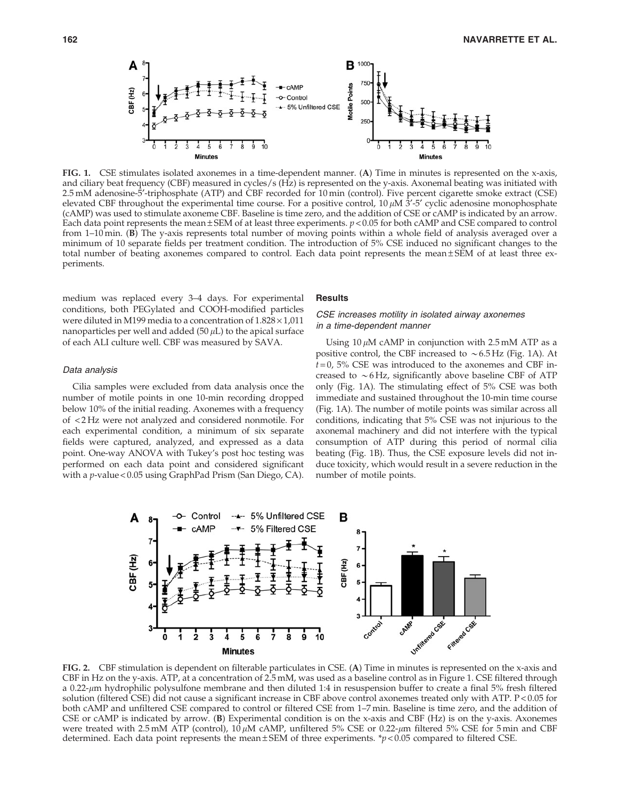

FIG. 1. CSE stimulates isolated axonemes in a time-dependent manner. (A) Time in minutes is represented on the x-axis, and ciliary beat frequency (CBF) measured in cycles/s (Hz) is represented on the y-axis. Axonemal beating was initiated with 2.5 mM adenosine-5¢-triphosphate (ATP) and CBF recorded for 10 min (control). Five percent cigarette smoke extract (CSE) elevated CBF throughout the experimental time course. For a positive control,  $10 \mu M$   $3'$ -5' cyclic adenosine monophosphate (cAMP) was used to stimulate axoneme CBF. Baseline is time zero, and the addition of CSE or cAMP is indicated by an arrow. Each data point represents the mean  $\pm$  SEM of at least three experiments.  $p$  < 0.05 for both cAMP and CSE compared to control from 1–10 min. (B) The y-axis represents total number of moving points within a whole field of analysis averaged over a minimum of 10 separate fields per treatment condition. The introduction of 5% CSE induced no significant changes to the total number of beating axonemes compared to control. Each data point represents the mean  $\pm$  SEM of at least three experiments.

medium was replaced every 3–4 days. For experimental conditions, both PEGylated and COOH-modified particles were diluted in M199 media to a concentration of  $1.828 \times 1,011$ nanoparticles per well and added (50  $\mu$ L) to the apical surface of each ALI culture well. CBF was measured by SAVA.

## Data analysis

Cilia samples were excluded from data analysis once the number of motile points in one 10-min recording dropped below 10% of the initial reading. Axonemes with a frequency of < 2 Hz were not analyzed and considered nonmotile. For each experimental condition, a minimum of six separate fields were captured, analyzed, and expressed as a data point. One-way ANOVA with Tukey's post hoc testing was performed on each data point and considered significant with a p-value < 0.05 using GraphPad Prism (San Diego, CA).

## **Results**

# CSE increases motility in isolated airway axonemes in a time-dependent manner

Using 10  $\mu$ M cAMP in conjunction with 2.5 mM ATP as a positive control, the CBF increased to  $\sim 6.5$  Hz (Fig. 1A). At  $t = 0$ , 5% CSE was introduced to the axonemes and CBF increased to  $\sim$  6 Hz, significantly above baseline CBF of ATP only (Fig. 1A). The stimulating effect of 5% CSE was both immediate and sustained throughout the 10-min time course (Fig. 1A). The number of motile points was similar across all conditions, indicating that 5% CSE was not injurious to the axonemal machinery and did not interfere with the typical consumption of ATP during this period of normal cilia beating (Fig. 1B). Thus, the CSE exposure levels did not induce toxicity, which would result in a severe reduction in the number of motile points.



FIG. 2. CBF stimulation is dependent on filterable particulates in CSE. (A) Time in minutes is represented on the x-axis and CBF in Hz on the y-axis. ATP, at a concentration of 2.5 mM, was used as a baseline control as in Figure 1. CSE filtered through a 0.22- $\mu$ m hydrophilic polysulfone membrane and then diluted 1:4 in resuspension buffer to create a final 5% fresh filtered solution (filtered CSE) did not cause a significant increase in CBF above control axonemes treated only with ATP. P<0.05 for both cAMP and unfiltered CSE compared to control or filtered CSE from 1–7 min. Baseline is time zero, and the addition of CSE or cAMP is indicated by arrow. (B) Experimental condition is on the x-axis and CBF (Hz) is on the y-axis. Axonemes were treated with 2.5 mM ATP (control),  $10 \mu$ M cAMP, unfiltered 5% CSE or 0.22- $\mu$ m filtered 5% CSE for 5 min and CBF determined. Each data point represents the mean  $\pm$  SEM of three experiments. \*p < 0.05 compared to filtered CSE.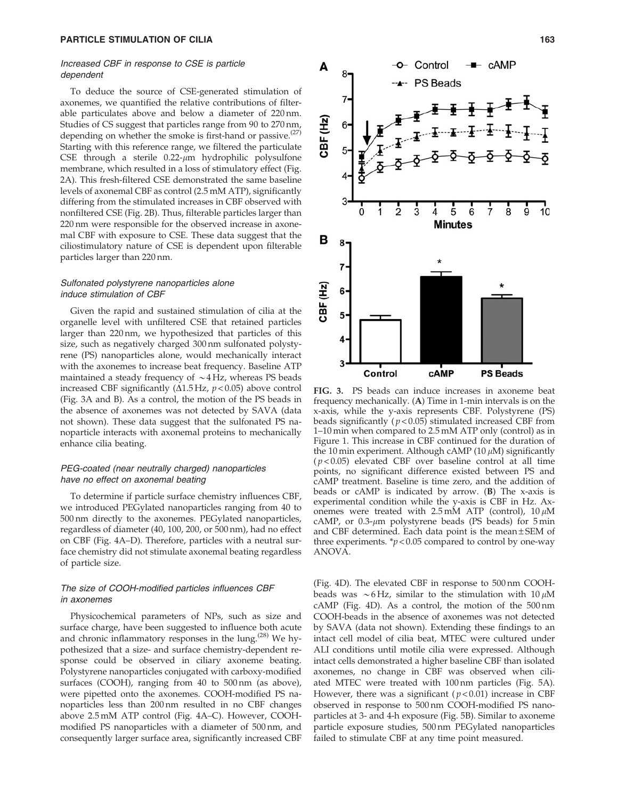## Increased CBF in response to CSE is particle dependent

To deduce the source of CSE-generated stimulation of axonemes, we quantified the relative contributions of filterable particulates above and below a diameter of 220 nm. Studies of CS suggest that particles range from 90 to 270 nm, depending on whether the smoke is first-hand or passive.<sup> $(27)$ </sup> Starting with this reference range, we filtered the particulate CSE through a sterile  $0.22$ - $\mu$ m hydrophilic polysulfone membrane, which resulted in a loss of stimulatory effect (Fig. 2A). This fresh-filtered CSE demonstrated the same baseline levels of axonemal CBF as control (2.5 mM ATP), significantly differing from the stimulated increases in CBF observed with nonfiltered CSE (Fig. 2B). Thus, filterable particles larger than 220 nm were responsible for the observed increase in axonemal CBF with exposure to CSE. These data suggest that the ciliostimulatory nature of CSE is dependent upon filterable particles larger than 220 nm.

## Sulfonated polystyrene nanoparticles alone induce stimulation of CBF

Given the rapid and sustained stimulation of cilia at the organelle level with unfiltered CSE that retained particles larger than 220 nm, we hypothesized that particles of this size, such as negatively charged 300 nm sulfonated polystyrene (PS) nanoparticles alone, would mechanically interact with the axonemes to increase beat frequency. Baseline ATP maintained a steady frequency of  $\sim$  4 Hz, whereas PS beads increased CBF significantly ( $\Delta$ 1.5 Hz,  $p$  < 0.05) above control (Fig. 3A and B). As a control, the motion of the PS beads in the absence of axonemes was not detected by SAVA (data not shown). These data suggest that the sulfonated PS nanoparticle interacts with axonemal proteins to mechanically enhance cilia beating.

## PEG-coated (near neutrally charged) nanoparticles have no effect on axonemal beating

To determine if particle surface chemistry influences CBF, we introduced PEGylated nanoparticles ranging from 40 to 500 nm directly to the axonemes. PEGylated nanoparticles, regardless of diameter (40, 100, 200, or 500 nm), had no effect on CBF (Fig. 4A–D). Therefore, particles with a neutral surface chemistry did not stimulate axonemal beating regardless of particle size.

# The size of COOH-modified particles influences CBF in axonemes

Physicochemical parameters of NPs, such as size and surface charge, have been suggested to influence both acute and chronic inflammatory responses in the lung.<sup> $(28)$ </sup> We hypothesized that a size- and surface chemistry-dependent response could be observed in ciliary axoneme beating. Polystyrene nanoparticles conjugated with carboxy-modified surfaces (COOH), ranging from 40 to 500 nm (as above), were pipetted onto the axonemes. COOH-modified PS nanoparticles less than 200 nm resulted in no CBF changes above 2.5 mM ATP control (Fig. 4A–C). However, COOHmodified PS nanoparticles with a diameter of 500 nm, and consequently larger surface area, significantly increased CBF



A

CBF (Hz)

3

Control

FIG. 3. PS beads can induce increases in axoneme beat frequency mechanically. (A) Time in 1-min intervals is on the x-axis, while the y-axis represents CBF. Polystyrene (PS) beads significantly  $(p < 0.05)$  stimulated increased CBF from 1–10 min when compared to 2.5 mM ATP only (control) as in Figure 1. This increase in CBF continued for the duration of the 10 min experiment. Although cAMP (10  $\mu$ M) significantly  $(p<0.05)$  elevated CBF over baseline control at all time points, no significant difference existed between PS and cAMP treatment. Baseline is time zero, and the addition of beads or cAMP is indicated by arrow. (B) The x-axis is experimental condition while the y-axis is CBF in Hz. Axonemes were treated with  $2.5 \text{ mM ATP}$  (control),  $10 \mu \text{M}$ cAMP, or  $0.3$ - $\mu$ m polystyrene beads (PS beads) for 5 min and CBF determined. Each data point is the mean  $\pm$  SEM of three experiments.  $p < 0.05$  compared to control by one-way ANOVA.

cAMP

**PS Beads** 

(Fig. 4D). The elevated CBF in response to 500 nm COOHbeads was  $\sim$  6 Hz, similar to the stimulation with 10  $\mu$ M cAMP (Fig. 4D). As a control, the motion of the 500 nm COOH-beads in the absence of axonemes was not detected by SAVA (data not shown). Extending these findings to an intact cell model of cilia beat, MTEC were cultured under ALI conditions until motile cilia were expressed. Although intact cells demonstrated a higher baseline CBF than isolated axonemes, no change in CBF was observed when ciliated MTEC were treated with 100 nm particles (Fig. 5A). However, there was a significant ( $p < 0.01$ ) increase in CBF observed in response to 500 nm COOH-modified PS nanoparticles at 3- and 4-h exposure (Fig. 5B). Similar to axoneme particle exposure studies, 500 nm PEGylated nanoparticles failed to stimulate CBF at any time point measured.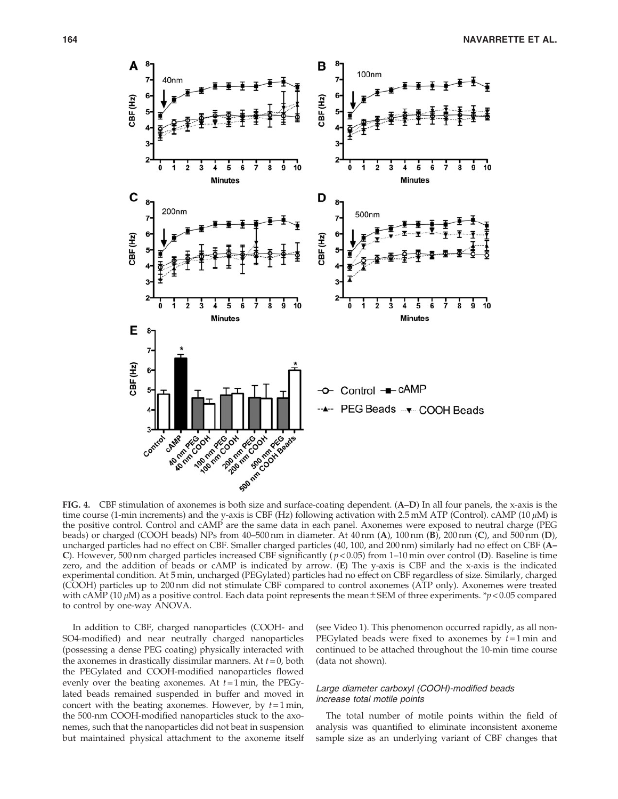

FIG. 4. CBF stimulation of axonemes is both size and surface-coating dependent. (A–D) In all four panels, the x-axis is the time course (1-min increments) and the y-axis is CBF (Hz) following activation with 2.5 mM ATP (Control). cAMP (10  $\mu$ M) is the positive control. Control and cAMP are the same data in each panel. Axonemes were exposed to neutral charge (PEG beads) or charged (COOH beads) NPs from 40–500 nm in diameter. At 40 nm (A), 100 nm (B), 200 nm (C), and 500 nm (D), uncharged particles had no effect on CBF. Smaller charged particles (40, 100, and 200 nm) similarly had no effect on CBF (A– C). However, 500 nm charged particles increased CBF significantly ( $p < 0.05$ ) from 1–10 min over control (D). Baseline is time zero, and the addition of beads or cAMP is indicated by arrow. (E) The y-axis is CBF and the x-axis is the indicated experimental condition. At 5 min, uncharged (PEGylated) particles had no effect on CBF regardless of size. Similarly, charged (COOH) particles up to 200 nm did not stimulate CBF compared to control axonemes (ATP only). Axonemes were treated with cAMP (10  $\mu$ M) as a positive control. Each data point represents the mean  $\pm$  SEM of three experiments. \*p < 0.05 compared to control by one-way ANOVA.

In addition to CBF, charged nanoparticles (COOH- and SO4-modified) and near neutrally charged nanoparticles (possessing a dense PEG coating) physically interacted with the axonemes in drastically dissimilar manners. At  $t = 0$ , both the PEGylated and COOH-modified nanoparticles flowed evenly over the beating axonemes. At  $t = 1$  min, the PEGylated beads remained suspended in buffer and moved in concert with the beating axonemes. However, by  $t = 1$  min, the 500-nm COOH-modified nanoparticles stuck to the axonemes, such that the nanoparticles did not beat in suspension but maintained physical attachment to the axoneme itself (see Video 1). This phenomenon occurred rapidly, as all non-PEGylated beads were fixed to axonemes by  $t = 1$  min and continued to be attached throughout the 10-min time course (data not shown).

## Large diameter carboxyl (COOH)-modified beads increase total motile points

The total number of motile points within the field of analysis was quantified to eliminate inconsistent axoneme sample size as an underlying variant of CBF changes that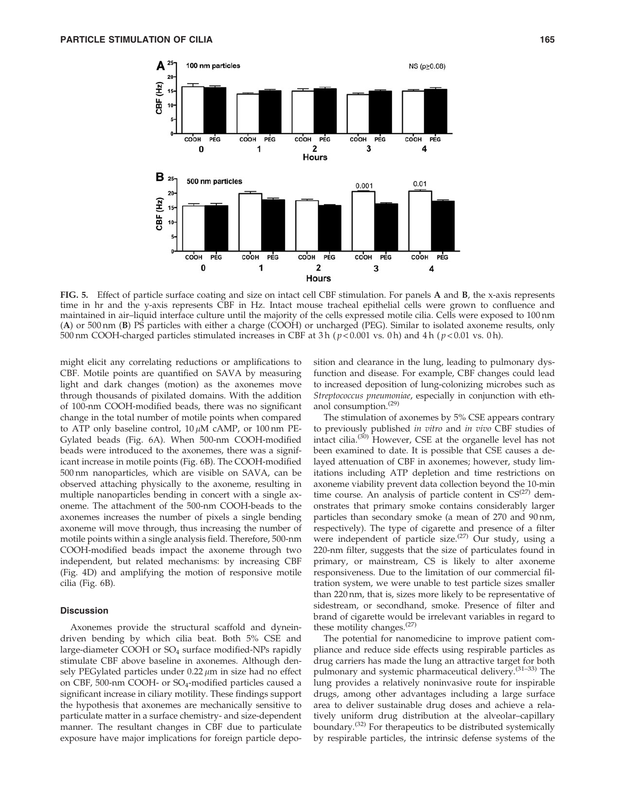

FIG. 5. Effect of particle surface coating and size on intact cell CBF stimulation. For panels A and B, the x-axis represents time in hr and the y-axis represents CBF in Hz. Intact mouse tracheal epithelial cells were grown to confluence and maintained in air–liquid interface culture until the majority of the cells expressed motile cilia. Cells were exposed to 100 nm (A) or 500 nm (B) PS particles with either a charge (COOH) or uncharged (PEG). Similar to isolated axoneme results, only 500 nm COOH-charged particles stimulated increases in CBF at 3 h ( $p$  < 0.001 vs. 0 h) and 4 h ( $p$  < 0.01 vs. 0 h).

might elicit any correlating reductions or amplifications to CBF. Motile points are quantified on SAVA by measuring light and dark changes (motion) as the axonemes move through thousands of pixilated domains. With the addition of 100-nm COOH-modified beads, there was no significant change in the total number of motile points when compared to ATP only baseline control,  $10 \mu M$  cAMP, or  $100 \text{ nm}$  PE-Gylated beads (Fig. 6A). When 500-nm COOH-modified beads were introduced to the axonemes, there was a significant increase in motile points (Fig. 6B). The COOH-modified 500 nm nanoparticles, which are visible on SAVA, can be observed attaching physically to the axoneme, resulting in multiple nanoparticles bending in concert with a single axoneme. The attachment of the 500-nm COOH-beads to the axonemes increases the number of pixels a single bending axoneme will move through, thus increasing the number of motile points within a single analysis field. Therefore, 500-nm COOH-modified beads impact the axoneme through two independent, but related mechanisms: by increasing CBF (Fig. 4D) and amplifying the motion of responsive motile cilia (Fig. 6B).

#### **Discussion**

Axonemes provide the structural scaffold and dyneindriven bending by which cilia beat. Both 5% CSE and large-diameter COOH or SO4 surface modified-NPs rapidly stimulate CBF above baseline in axonemes. Although densely PEGylated particles under  $0.22 \mu m$  in size had no effect on CBF, 500-nm COOH- or SO<sub>4</sub>-modified particles caused a significant increase in ciliary motility. These findings support the hypothesis that axonemes are mechanically sensitive to particulate matter in a surface chemistry- and size-dependent manner. The resultant changes in CBF due to particulate exposure have major implications for foreign particle deposition and clearance in the lung, leading to pulmonary dysfunction and disease. For example, CBF changes could lead to increased deposition of lung-colonizing microbes such as Streptococcus pneumoniae, especially in conjunction with ethanol consumption.(29)

The stimulation of axonemes by 5% CSE appears contrary to previously published in vitro and in vivo CBF studies of intact cilia.(30) However, CSE at the organelle level has not been examined to date. It is possible that CSE causes a delayed attenuation of CBF in axonemes; however, study limitations including ATP depletion and time restrictions on axoneme viability prevent data collection beyond the 10-min time course. An analysis of particle content in  $CS^{(27)}$  demonstrates that primary smoke contains considerably larger particles than secondary smoke (a mean of 270 and 90 nm, respectively). The type of cigarette and presence of a filter were independent of particle size.<sup>(27)</sup> Our study, using a 220-nm filter, suggests that the size of particulates found in primary, or mainstream, CS is likely to alter axoneme responsiveness. Due to the limitation of our commercial filtration system, we were unable to test particle sizes smaller than 220 nm, that is, sizes more likely to be representative of sidestream, or secondhand, smoke. Presence of filter and brand of cigarette would be irrelevant variables in regard to these motility changes.(27)

The potential for nanomedicine to improve patient compliance and reduce side effects using respirable particles as drug carriers has made the lung an attractive target for both pulmonary and systemic pharmaceutical delivery.<sup>(31-33)</sup> The lung provides a relatively noninvasive route for inspirable drugs, among other advantages including a large surface area to deliver sustainable drug doses and achieve a relatively uniform drug distribution at the alveolar–capillary boundary.<sup>(32)</sup> For therapeutics to be distributed systemically by respirable particles, the intrinsic defense systems of the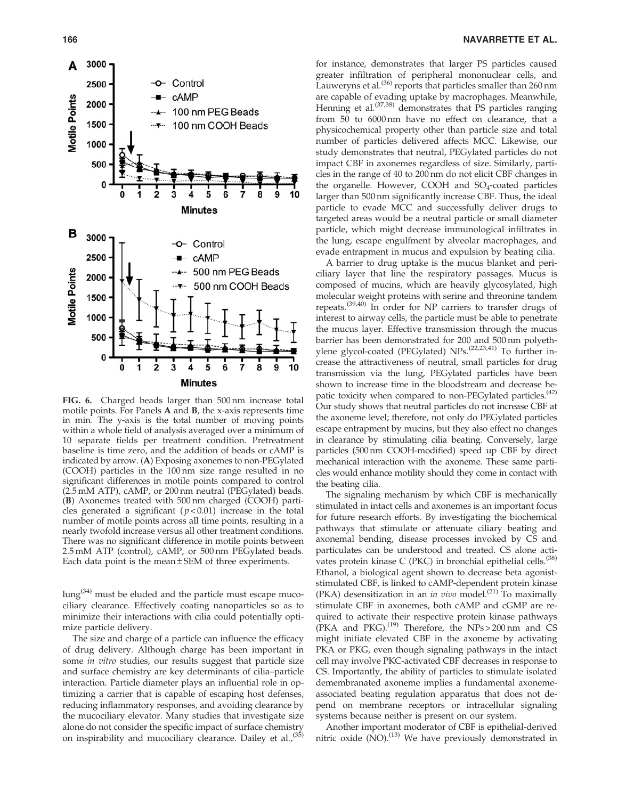

FIG. 6. Charged beads larger than 500 nm increase total motile points. For Panels A and B, the x-axis represents time in min. The y-axis is the total number of moving points within a whole field of analysis averaged over a minimum of 10 separate fields per treatment condition. Pretreatment baseline is time zero, and the addition of beads or cAMP is indicated by arrow. (A) Exposing axonemes to non-PEGylated (COOH) particles in the 100 nm size range resulted in no significant differences in motile points compared to control (2.5 mM ATP), cAMP, or 200 nm neutral (PEGylated) beads. (B) Axonemes treated with 500 nm charged (COOH) particles generated a significant ( $p < 0.01$ ) increase in the total number of motile points across all time points, resulting in a nearly twofold increase versus all other treatment conditions. There was no significant difference in motile points between 2.5 mM ATP (control), cAMP, or 500 nm PEGylated beads. Each data point is the mean  $\pm$  SEM of three experiments.

 $\log$ <sup>(34)</sup> must be eluded and the particle must escape mucociliary clearance. Effectively coating nanoparticles so as to minimize their interactions with cilia could potentially optimize particle delivery.

The size and charge of a particle can influence the efficacy of drug delivery. Although charge has been important in some in vitro studies, our results suggest that particle size and surface chemistry are key determinants of cilia–particle interaction. Particle diameter plays an influential role in optimizing a carrier that is capable of escaping host defenses, reducing inflammatory responses, and avoiding clearance by the mucociliary elevator. Many studies that investigate size alone do not consider the specific impact of surface chemistry on inspirability and mucociliary clearance. Dailey et al.,<sup>(35)</sup>

for instance, demonstrates that larger PS particles caused greater infiltration of peripheral mononuclear cells, and Lauweryns et al.<sup>(36)</sup> reports that particles smaller than 260 nm are capable of evading uptake by macrophages. Meanwhile, Henning et al.<sup>(37,38)</sup> demonstrates that PS particles ranging from 50 to 6000 nm have no effect on clearance, that a physicochemical property other than particle size and total number of particles delivered affects MCC. Likewise, our study demonstrates that neutral, PEGylated particles do not impact CBF in axonemes regardless of size. Similarly, particles in the range of 40 to 200 nm do not elicit CBF changes in the organelle. However, COOH and  $SO_4$ -coated particles larger than 500 nm significantly increase CBF. Thus, the ideal particle to evade MCC and successfully deliver drugs to targeted areas would be a neutral particle or small diameter particle, which might decrease immunological infiltrates in the lung, escape engulfment by alveolar macrophages, and evade entrapment in mucus and expulsion by beating cilia.

A barrier to drug uptake is the mucus blanket and periciliary layer that line the respiratory passages. Mucus is composed of mucins, which are heavily glycosylated, high molecular weight proteins with serine and threonine tandem repeats.(39,40) In order for NP carriers to transfer drugs of interest to airway cells, the particle must be able to penetrate the mucus layer. Effective transmission through the mucus barrier has been demonstrated for 200 and 500 nm polyethylene glycol-coated (PEGylated) NPs.<sup>(22,23,41)</sup> To further increase the attractiveness of neutral, small particles for drug transmission via the lung, PEGylated particles have been shown to increase time in the bloodstream and decrease hepatic toxicity when compared to non-PEGylated particles.<sup>(42)</sup> Our study shows that neutral particles do not increase CBF at the axoneme level; therefore, not only do PEGylated particles escape entrapment by mucins, but they also effect no changes in clearance by stimulating cilia beating. Conversely, large particles (500 nm COOH-modified) speed up CBF by direct mechanical interaction with the axoneme. These same particles would enhance motility should they come in contact with the beating cilia.

The signaling mechanism by which CBF is mechanically stimulated in intact cells and axonemes is an important focus for future research efforts. By investigating the biochemical pathways that stimulate or attenuate ciliary beating and axonemal bending, disease processes invoked by CS and particulates can be understood and treated. CS alone activates protein kinase C (PKC) in bronchial epithelial cells.<sup>(38)</sup> Ethanol, a biological agent shown to decrease beta agoniststimulated CBF, is linked to cAMP-dependent protein kinase (PKA) desensitization in an in vivo model.<sup>(21)</sup> To maximally stimulate CBF in axonemes, both cAMP and cGMP are required to activate their respective protein kinase pathways (PKA and PKG).<sup>(19)</sup> Therefore, the NPs > 200 nm and CS might initiate elevated CBF in the axoneme by activating PKA or PKG, even though signaling pathways in the intact cell may involve PKC-activated CBF decreases in response to CS. Importantly, the ability of particles to stimulate isolated demembranated axoneme implies a fundamental axonemeassociated beating regulation apparatus that does not depend on membrane receptors or intracellular signaling systems because neither is present on our system.

Another important moderator of CBF is epithelial-derived nitric oxide  $(NO)$ .<sup>(13)</sup> We have previously demonstrated in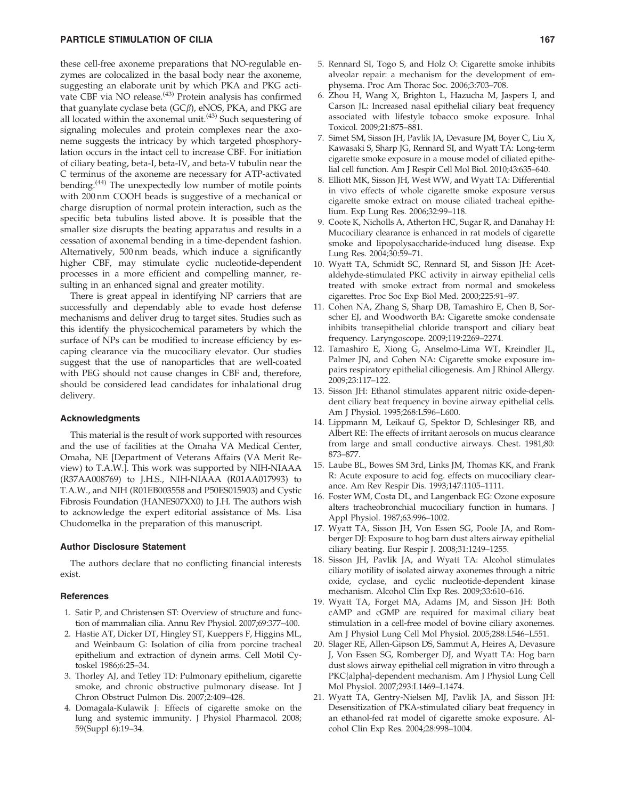these cell-free axoneme preparations that NO-regulable enzymes are colocalized in the basal body near the axoneme, suggesting an elaborate unit by which PKA and PKG activate CBF via NO release.<sup>(43)</sup> Protein analysis has confirmed that guanylate cyclase beta  $(GC\beta)$ , eNOS, PKA, and PKG are all located within the axonemal unit. $(43)$  Such sequestering of signaling molecules and protein complexes near the axoneme suggests the intricacy by which targeted phosphorylation occurs in the intact cell to increase CBF. For initiation of ciliary beating, beta-I, beta-IV, and beta-V tubulin near the C terminus of the axoneme are necessary for ATP-activated bending.<sup>(44)</sup> The unexpectedly low number of motile points with 200 nm COOH beads is suggestive of a mechanical or charge disruption of normal protein interaction, such as the specific beta tubulins listed above. It is possible that the smaller size disrupts the beating apparatus and results in a cessation of axonemal bending in a time-dependent fashion. Alternatively, 500 nm beads, which induce a significantly higher CBF, may stimulate cyclic nucleotide-dependent processes in a more efficient and compelling manner, resulting in an enhanced signal and greater motility.

There is great appeal in identifying NP carriers that are successfully and dependably able to evade host defense mechanisms and deliver drug to target sites. Studies such as this identify the physicochemical parameters by which the surface of NPs can be modified to increase efficiency by escaping clearance via the mucociliary elevator. Our studies suggest that the use of nanoparticles that are well-coated with PEG should not cause changes in CBF and, therefore, should be considered lead candidates for inhalational drug delivery.

## Acknowledgments

This material is the result of work supported with resources and the use of facilities at the Omaha VA Medical Center, Omaha, NE [Department of Veterans Affairs (VA Merit Review) to T.A.W.]. This work was supported by NIH-NIAAA (R37AA008769) to J.H.S., NIH-NIAAA (R01AA017993) to T.A.W., and NIH (R01EB003558 and P50ES015903) and Cystic Fibrosis Foundation (HANES07XX0) to J.H. The authors wish to acknowledge the expert editorial assistance of Ms. Lisa Chudomelka in the preparation of this manuscript.

#### Author Disclosure Statement

The authors declare that no conflicting financial interests exist.

## **References**

- 1. Satir P, and Christensen ST: Overview of structure and function of mammalian cilia. Annu Rev Physiol. 2007;69:377–400.
- 2. Hastie AT, Dicker DT, Hingley ST, Kueppers F, Higgins ML, and Weinbaum G: Isolation of cilia from porcine tracheal epithelium and extraction of dynein arms. Cell Motil Cytoskel 1986;6:25–34.
- 3. Thorley AJ, and Tetley TD: Pulmonary epithelium, cigarette smoke, and chronic obstructive pulmonary disease. Int J Chron Obstruct Pulmon Dis. 2007;2:409–428.
- 4. Domagala-Kulawik J: Effects of cigarette smoke on the lung and systemic immunity. J Physiol Pharmacol. 2008; 59(Suppl 6):19–34.
- 5. Rennard SI, Togo S, and Holz O: Cigarette smoke inhibits alveolar repair: a mechanism for the development of emphysema. Proc Am Thorac Soc. 2006;3:703–708.
- 6. Zhou H, Wang X, Brighton L, Hazucha M, Jaspers I, and Carson JL: Increased nasal epithelial ciliary beat frequency associated with lifestyle tobacco smoke exposure. Inhal Toxicol. 2009;21:875–881.
- 7. Simet SM, Sisson JH, Pavlik JA, Devasure JM, Boyer C, Liu X, Kawasaki S, Sharp JG, Rennard SI, and Wyatt TA: Long-term cigarette smoke exposure in a mouse model of ciliated epithelial cell function. Am J Respir Cell Mol Biol. 2010;43:635–640.
- 8. Elliott MK, Sisson JH, West WW, and Wyatt TA: Differential in vivo effects of whole cigarette smoke exposure versus cigarette smoke extract on mouse ciliated tracheal epithelium. Exp Lung Res. 2006;32:99–118.
- 9. Coote K, Nicholls A, Atherton HC, Sugar R, and Danahay H: Mucociliary clearance is enhanced in rat models of cigarette smoke and lipopolysaccharide-induced lung disease. Exp Lung Res. 2004;30:59–71.
- 10. Wyatt TA, Schmidt SC, Rennard SI, and Sisson JH: Acetaldehyde-stimulated PKC activity in airway epithelial cells treated with smoke extract from normal and smokeless cigarettes. Proc Soc Exp Biol Med. 2000;225:91–97.
- 11. Cohen NA, Zhang S, Sharp DB, Tamashiro E, Chen B, Sorscher EJ, and Woodworth BA: Cigarette smoke condensate inhibits transepithelial chloride transport and ciliary beat frequency. Laryngoscope. 2009;119:2269–2274.
- 12. Tamashiro E, Xiong G, Anselmo-Lima WT, Kreindler JL, Palmer JN, and Cohen NA: Cigarette smoke exposure impairs respiratory epithelial ciliogenesis. Am J Rhinol Allergy. 2009;23:117–122.
- 13. Sisson JH: Ethanol stimulates apparent nitric oxide-dependent ciliary beat frequency in bovine airway epithelial cells. Am J Physiol. 1995;268:L596–L600.
- 14. Lippmann M, Leikauf G, Spektor D, Schlesinger RB, and Albert RE: The effects of irritant aerosols on mucus clearance from large and small conductive airways. Chest. 1981;80: 873–877.
- 15. Laube BL, Bowes SM 3rd, Links JM, Thomas KK, and Frank R: Acute exposure to acid fog. effects on mucociliary clearance. Am Rev Respir Dis. 1993;147:1105–1111.
- 16. Foster WM, Costa DL, and Langenback EG: Ozone exposure alters tracheobronchial mucociliary function in humans. J Appl Physiol. 1987;63:996–1002.
- 17. Wyatt TA, Sisson JH, Von Essen SG, Poole JA, and Romberger DJ: Exposure to hog barn dust alters airway epithelial ciliary beating. Eur Respir J. 2008;31:1249–1255.
- 18. Sisson JH, Pavlik JA, and Wyatt TA: Alcohol stimulates ciliary motility of isolated airway axonemes through a nitric oxide, cyclase, and cyclic nucleotide-dependent kinase mechanism. Alcohol Clin Exp Res. 2009;33:610–616.
- 19. Wyatt TA, Forget MA, Adams JM, and Sisson JH: Both cAMP and cGMP are required for maximal ciliary beat stimulation in a cell-free model of bovine ciliary axonemes. Am J Physiol Lung Cell Mol Physiol. 2005;288:L546–L551.
- 20. Slager RE, Allen-Gipson DS, Sammut A, Heires A, Devasure J, Von Essen SG, Romberger DJ, and Wyatt TA: Hog barn dust slows airway epithelial cell migration in vitro through a PKC{alpha}-dependent mechanism. Am J Physiol Lung Cell Mol Physiol. 2007;293:L1469–L1474.
- 21. Wyatt TA, Gentry-Nielsen MJ, Pavlik JA, and Sisson JH: Desensitization of PKA-stimulated ciliary beat frequency in an ethanol-fed rat model of cigarette smoke exposure. Alcohol Clin Exp Res. 2004;28:998–1004.